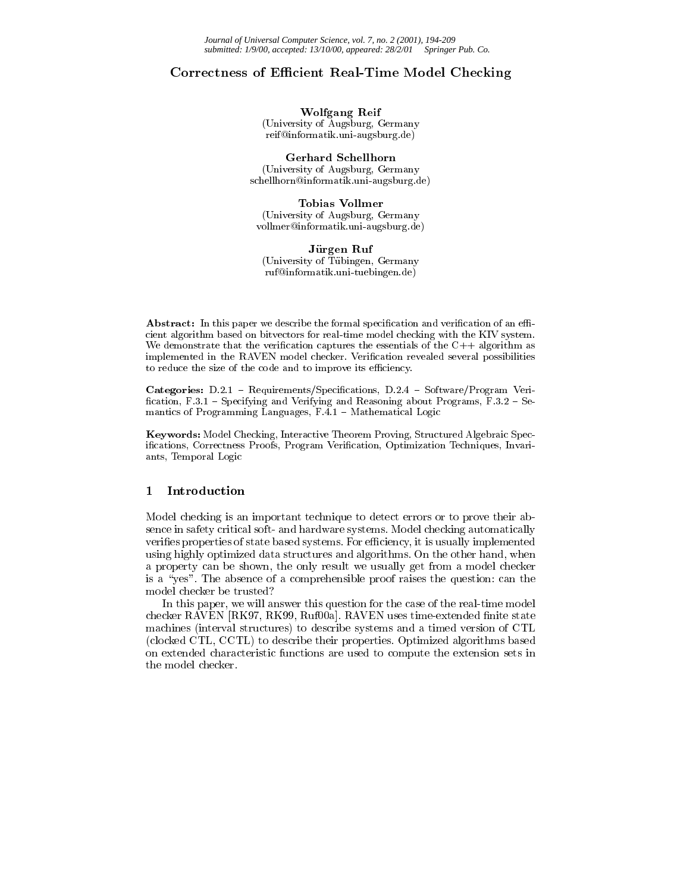# Corrective of Ecitivities Real-Times and Checking Checking

Wolfgang Reif (University of Augsburg, Germany reif@informatik.uni-augsburg.de)

Gerhard Schellhorn (University of Augsburg, Germany schellhorn@informatik.uni-augsburg.de)

Tobias Vollmer (University of Augsburg, Germany vollmer@informatik.uni-augsburg.de)

Jürgen Ruf (University of Tubingen, Germany ruf@informatik.uni-tuebingen.de)

Abstract: In this paper we describe the formal specification and verification of an efficient algorithm based on bitvectors for real-time model checking with the KIV system. We demonstrate that the verification captures the essentials of the  $C++$  algorithm as implemented in the RAVEN model checker. Verication revealed several possibilities to reduce the size of the code and to improve its efficiency.

Categories: D.2.1 - Requirements/Specifications, D.2.4 - Software/Program Verification, F.3.1 - Specifying and Verifying and Reasoning about Programs, F.3.2 - Semantics of Programming Languages,  $F.4.1 -$  Mathematical Logic

Keywords: Model Checking, Interactive Theorem Proving, Structured Algebraic Specifications, Correctness Proofs, Program Verification, Optimization Techniques, Invariants, Temporal Logic

#### 1Introduction

Model checking is an important technique to detect errors or to prove their absence in safety critical soft- and hardware systems. Model checking automatically verifies properties of state based systems. For efficiency, it is usually implemented using highly optimized data structures and algorithms. On the other hand, when a property can be shown, the only result we usually get from a model checker is a "yes". The absence of a comprehensible proof raises the question: can the model checker be trusted?

In this paper, we will answer this question for the case of the real-time model checker RAVEN [RK97, RK99, Ruf00a]. RAVEN uses time-extended finite state machines (interval structures) to describe systems and a timed version of CTL (clocked CTL, CCTL) to describe their properties. Optimized algorithms based on extended characteristic functions are used to compute the extension sets in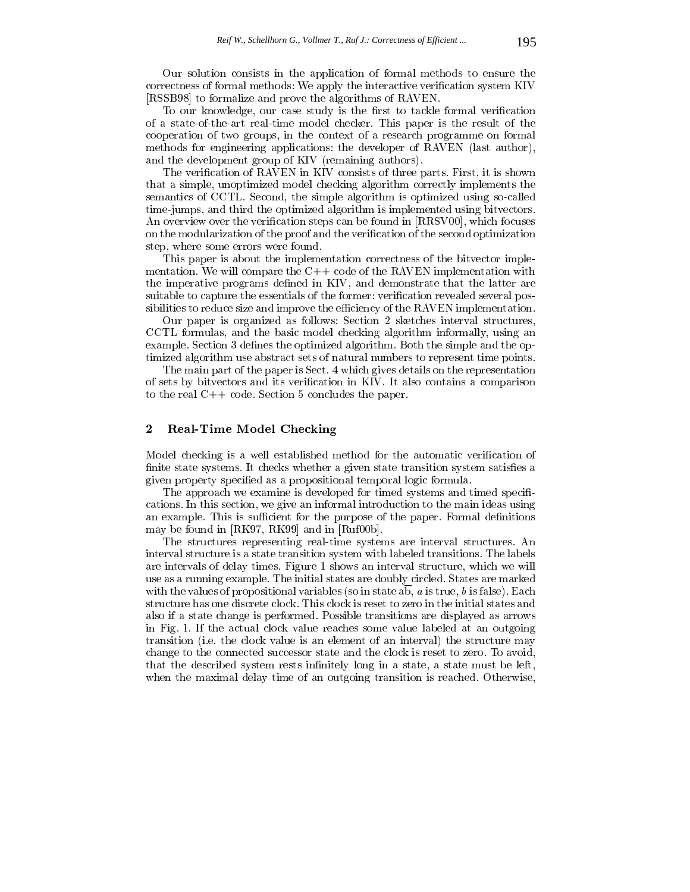Our solution consists in the application of formal methods to ensure the correctness of formal methods: We apply the interactive verification system KIV [RSSB98] to formalize and prove the algorithms of RAVEN.

To our knowledge, our case study is the first to tackle formal verification of a state-of-the-art real-time model checker. This paper is the result of the cooperation of two groups, in the context of a research programme on formal methods for engineering applications: the developer of RAVEN (last author), and the development group of KIV (remaining authors).

The verification of RAVEN in KIV consists of three parts. First, it is shown that a simple, unoptimized model checking algorithm correctly implements the semantics of CCTL. Second, the simple algorithm is optimized using so-called time-jumps, and third the optimized algorithm is implemented using bitvectors. An overview over the verification steps can be found in [RRSV00], which focuses on the modularization of the proof and the verication of the second optimization step, where some errors were found.

This paper is about the implementation correctness of the bitvector implementation. We will compare the  $C++$  code of the RAVEN implementation with the imperative programs defined in KIV, and demonstrate that the latter are suitable to capture the essentials of the former: verification revealed several possibilities to reduce size and improve the efficiency of the RAVEN implementation.

Our paper is organized as follows: Section 2 sketches interval structures, CCTL formulas, and the basic model checking algorithm informally, using an example. Section 3 defines the optimized algorithm. Both the simple and the optimized algorithm use abstract sets of natural numbers to represent time points.

The main part of the paper is Sect. 4 which gives details on the representation of sets by bitvectors and its verification in KIV. It also contains a comparison to the real C++ code. Section 5 concludes the paper.

#### 2Real-Time Model Checking

Model checking is a well established method for the automatic verication of finite state systems. It checks whether a given state transition system satisfies a given property specied as a propositional temporal logic formula.

The approach we examine is developed for timed systems and timed specifications. In this section, we give an informal introduction to the main ideas using an example. This is sufficient for the purpose of the paper. Formal definitions may be found in [RK97, RK99] and in [Ruf00b].

The structures representing real-time systems are interval structures. An interval structure is a state transition system with labeled transitions. The labels are intervals of delay times. Figure 1 shows an interval structure, which we will use as a running example. The initial states are doubly circled. States are marked with the values of propositional variables (so in state ab,  $a$  is true,  $b$  is false). Each structure has one discrete clock. This clock is reset to zero in the initial states and also if a state change is performed. Possible transitions are displayed as arrows in Fig. 1. If the actual clock value reaches some value labeled at an outgoing transition (i.e. the clock value is an element of an interval) the structure may change to the connected successor state and the clock is reset to zero. To avoid, that the described system rests infinitely long in a state, a state must be left, when the maximal delay time of an outgoing transition is reached. Otherwise,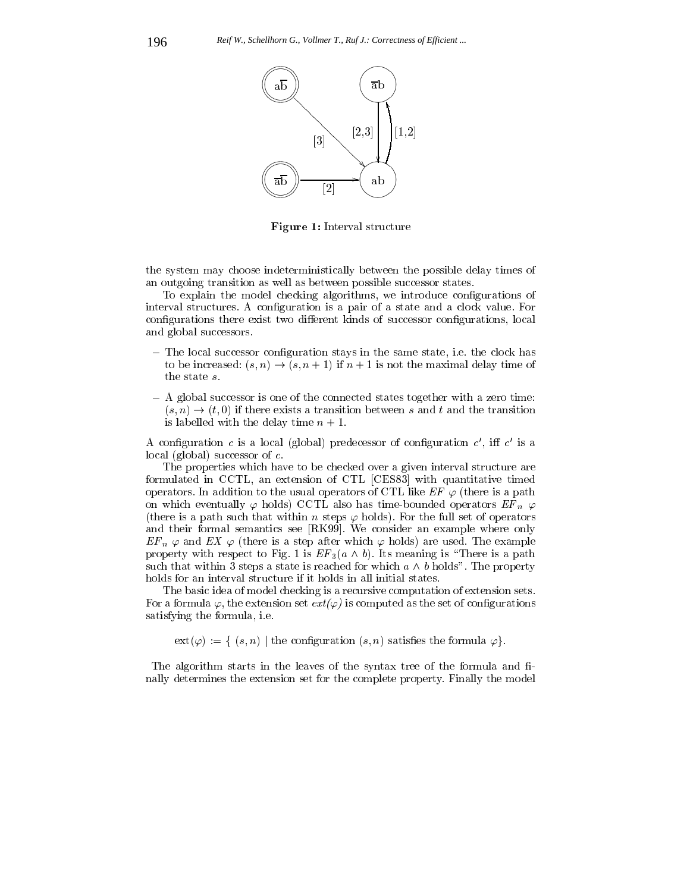

Figure 1: Interval structure

the system may choose indeterministically between the possible delay times of an outgoing transition as well as between possible successor states.

To explain the model checking algorithms, we introduce congurations of interval structures. A conguration is a pair of a state and a clock value. For configurations there exist two different kinds of successor configurations, local and global successors.

- ${\bf -}$  The local successor configuration stays in the same state, i.e. the clock has to be increased:  $(s, n) \rightarrow (s, n + 1)$  if  $n + 1$  is not the maximal delay time of the state s.
- ${\bf -}$  A global successor is one of the connected states together with a zero time:  $(s, n) \rightarrow (t, 0)$  if there exists a transition between s and t and the transition is labelled with the delay time  $n + 1$ .

A configuration c is a local (global) predecessor of configuration c, in c is a local (global) successor of c.

The properties which have to be checked over a given interval structure are formulated in CCTL, an extension of CTL [CES83] with quantitative timed operators. In addition to the usual operators of CTL like  $EF \varphi$  (there is a path on which eventually  $\varphi$  holds) CCTL also has time-bounded operators  $EF_n \varphi$ (there is a path such that within n steps  $\varphi$  holds). For the full set of operators and their formal semantics see [RK99]. We consider an example where only  $E_{\bm{F} \bm{n}} \varphi$  and  $E_{\bm{\lambda}} \varphi$  (there is a step after which  $\varphi$  holds) are used. The example property with respect to Fig. 1 is  $Er_3(a \wedge b)$ . Its meaning is  $\top$  here is a path such that within 3 steps a state is reached for which  $a \wedge b$  holds". The property holds for an interval structure if it holds in all initial states.

The basic idea of model checking is a recursive computation of extension sets. For a formula  $\varphi$ , the extension set  $ext(\varphi)$  is computed as the set of configurations satisfying the formula, i.e.

 $ext(\varphi) := \{ (s, n) \mid \text{the configuration } (s, n) \text{ satisfies the formula } \varphi \}.$ 

The algorithm starts in the leaves of the syntax tree of the formula and finally determines the extension set for the complete property. Finally the model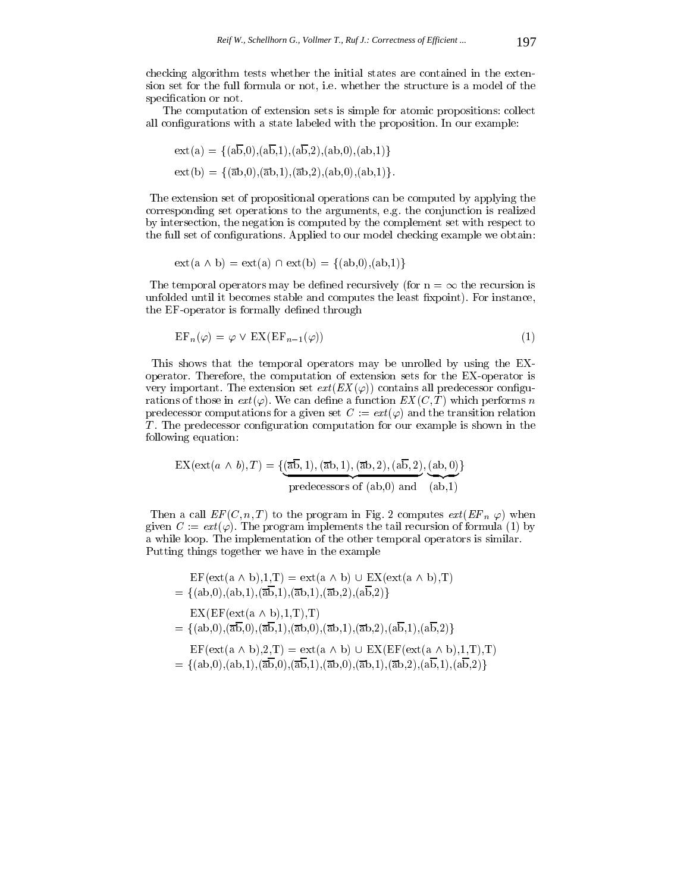checking algorithm tests whether the initial states are contained in the extension set for the full formula or not, i.e. whether the structure is a model of the specification or not.

The computation of extension sets is simple for atomic propositions: collect all configurations with a state labeled with the proposition. In our example:

$$
ext(a) = \{(ab,0), (ab,1), (ab,2), (ab,0), (ab,1)\}
$$

$$
ext(b) = \{(\overline{a}b,0), (\overline{a}b,1), (\overline{a}b,2), (ab,0), (ab,1)\}.
$$

The extension set of propositional operations can be computed by applying the corresponding set operations to the arguments, e.g. the conjunction is realized by intersection, the negation is computed by the complement set with respect to the full set of configurations. Applied to our model checking example we obtain:

$$
ext(a \wedge b) = ext(a) \cap ext(b) = \{(ab,0),(ab,1)\}
$$

The temporal operators may be defined recursively (for  $n = \infty$  the recursion is unfolded until it becomes stable and computes the least fixpoint). For instance, the EF-operator is formally defined through

$$
EF_n(\varphi) = \varphi \lor EX(EF_{n-1}(\varphi))
$$
\n(1)

This shows that the temporal operators may be unrolled by using the EXoperator. Therefore, the computation of extension sets for the EX-operator is very important. The extension set  $ext(EX(\varphi))$  contains all predecessor configurations of those in  $ext(\varphi)$ . We can define a function  $EX(C,T)$  which performs n predecessor computations for a given set  $C := ext(\varphi)$  and the transition relation T . The predecessor conguration computation for our example is shown in the following equation:

$$
EX(\text{ext}(a \wedge b), T) = \{(\overline{ab}, 1), (\overline{ab}, 1), (\overline{ab}, 2), (a\overline{b}, 2), (ab, 0)\}
$$
  
predecessors of (ab,0) and (ab,1)

Then a call  $LF (C, n, I)$  to the program in Fig. 2 computes  $ext (EF n \varphi)$  when given  $C := ext(\varphi)$ . The program implements the tail recursion of formula (1) by a while loop. The implementation of the other temporal operators is similar. Putting things together we have in the example

- $EF(\text{ext}(a \wedge b),1,T) = \text{ext}(a \wedge b) \cup EX(\text{ext}(a \wedge b),T)$  $= \{(\text{ab},0),(\text{ab},1),(\overline{\text{ab}},1),(\overline{\text{ab}},1),(\overline{\text{ab}},2),(\text{ab},2)\}$  $EX(EF(\text{ext}(a \wedge b),1,T),T)$  $= \{ (ab,0),(\overline{ab},0),(\overline{ab},1),(\overline{ab},0),(\overline{ab},1),(\overline{ab},2),(\overline{ab},1),(\overline{ab},2) \}$  $EF(\text{ext}(a \wedge b),2,T) = \text{ext}(a \wedge b) \cup EX(EF(\text{ext}(a \wedge b),1,T),T)$
- $= \{ (ab,0), (ab,1), (\overline{ab},0), (\overline{ab},1), (\overline{ab},0), (\overline{ab},1), (\overline{ab},2), (\overline{ab},1), (\overline{ab},2) \}$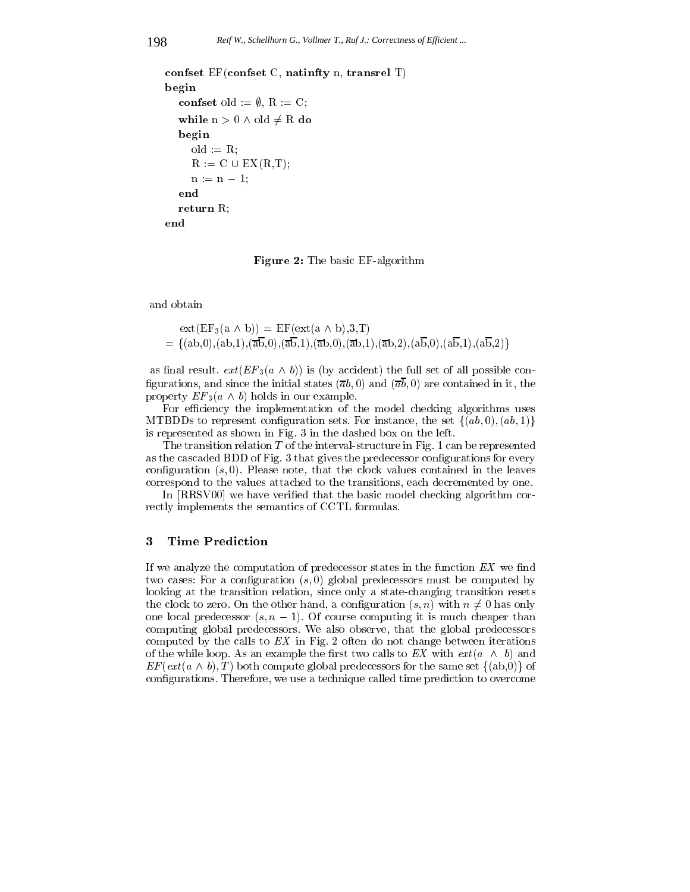```
confset EF(confset C, natinfty n, transrel T)
begin
  confset old := \emptyset, R := C;
  while n > 0 \land old \neq R do
  begin
     old := R;R := C \cup EX(R,T);n := n - 1;return R;
end
```
Figure 2: The basic EF-algorithm

and obtain

$$
ext(EF_3(a \wedge b)) = EF(\text{ext}(a \wedge b), 3, T)
$$
  
= {(ab,0), (ab,1),( $\overline{ab}, 0$ ),( $\overline{ab}, 1$ ),( $\overline{ab}, 0$ ),( $\overline{ab}, 1$ ),( $\overline{ab}, 2$ ),( $\overline{ab}, 0$ ),( $\overline{ab}, 1$ ),( $\overline{ab}, 2$ )}

as initial result.  $ext{ext}(\mathbf{E} \mathbf{r} | \mathbf{s} (a \wedge b))$  is (by accident) the full set of all possible configurations, and since the initial states  $(\overline{a}b, 0)$  and  $(\overline{a}\overline{b}, 0)$  are contained in it, the property  $Er_3(a \wedge b)$  holds in our example.

For efficiency the implementation of the model checking algorithms uses MTBDDs to represent configuration sets. For instance, the set  $\{(ab, 0), (ab, 1)\}$ is represented as shown in Fig. 3 in the dashed box on the left.

The transition relation  $T$  of the interval-structure in Fig. 1 can be represented as the cascaded BDD of Fig. 3 that gives the predecessor configurations for every configuration  $(s, 0)$ . Please note, that the clock values contained in the leaves correspond to the values attached to the transitions, each decremented by one.

In [RRSV00] we have verified that the basic model checking algorithm correctly implements the semantics of CCTL formulas.

### 3Time Prediction

If we analyze the computation of predecessor states in the function  $EX$  we find two cases: For a configuration  $(s,0)$  global predecessors must be computed by looking at the transition relation, since only a state-changing transition resets the clock to zero. On the other hand, a configuration  $(s, n)$  with  $n \neq 0$  has only one local predecessor  $(s, n - 1)$ . Of course computing it is much cheaper than computing global predecessors. We also observe, that the global predecessors computed by the calls to  $EX$  in Fig. 2 often do not change between iterations of the while loop. As an example the first two calls to EX with  $ext(a \wedge b)$  and EF (ext (a  $\wedge$  b), T ) both compute global predecessors for the same set  $\{(\text{a}b,0)\}\$  of congurations. Therefore, we use a technique called time prediction to overcome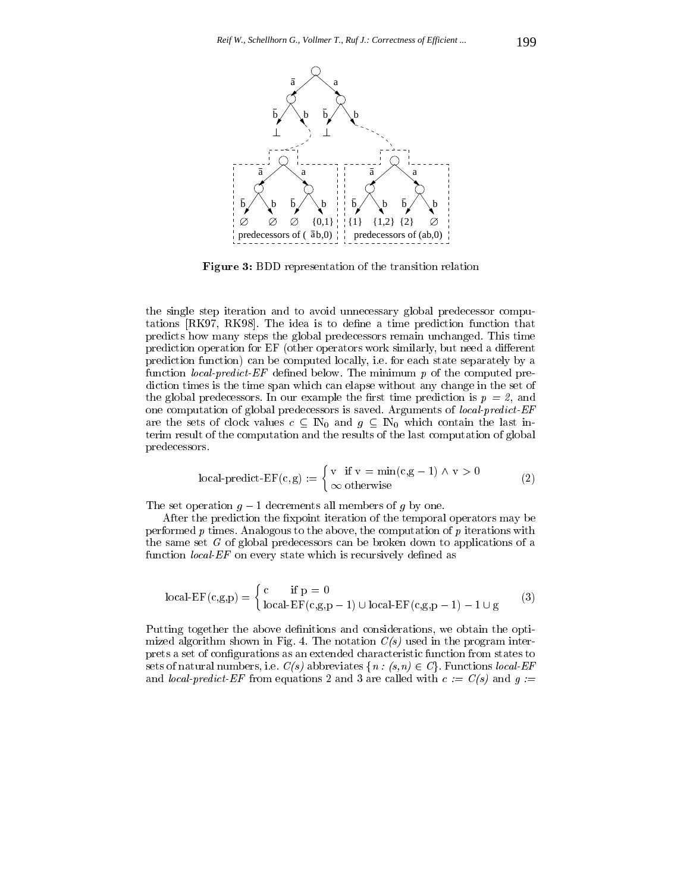

Figure 3: BDD representation of the transition relation

the single step iteration and to avoid unnecessary global predecessor computations [RK97, RK98]. The idea is to define a time prediction function that predicts how many steps the global predecessors remain unchanged. This time prediction operation for EF (other operators work similarly, but need a different prediction function) can be computed locally, i.e. for each state separately by a function *local-predict-EF* defined below. The minimum  $p$  of the computed prediction times is the time span which can elapse without any change in the set of the global predecessors. In our example the first time prediction is  $p = 2$ , and one computation of global predecessors is saved. Arguments of local-predict-EF are the sets of clock values  $c \subseteq \mathbb{N}_0$  and  $g \subseteq \mathbb{N}_0$  which contain the last interim result of the computation and the results of the last computation of global predecessors.

$$
local-predict-EF(c,g) := \begin{cases} v & \text{if } v = \min(c,g-1) \land v > 0 \\ \infty & \text{otherwise} \end{cases}
$$
 (2)

The set operation  $g - 1$  decrements all members of g by one.

After the prediction the fixpoint iteration of the temporal operators may be performed  $p$  times. Analogous to the above, the computation of  $p$  iterations with the same set <sup>G</sup> of global predecessors can be broken down to applications of a function  $local$ - $EF$  on every state which is recursively defined as

$$
local-EF(c,g,p) = \begin{cases} c & \text{if } p = 0\\ local-EF(c,g,p-1) \cup local-EF(c,g,p-1) - 1 \cup g \end{cases}
$$
 (3)

Putting together the above definitions and considerations, we obtain the optimized algorithm shown in Fig. 4. The notation  $C(s)$  used in the program interprets a set of congurations as an extended characteristic function from states to sets of natural numbers, i.e.  $C(s)$  abbreviates  $\{n : (s,n) \in C\}$ . Functions local-EF and *local-predict-EF* from equations 2 and 3 are called with  $c := C(s)$  and  $g :=$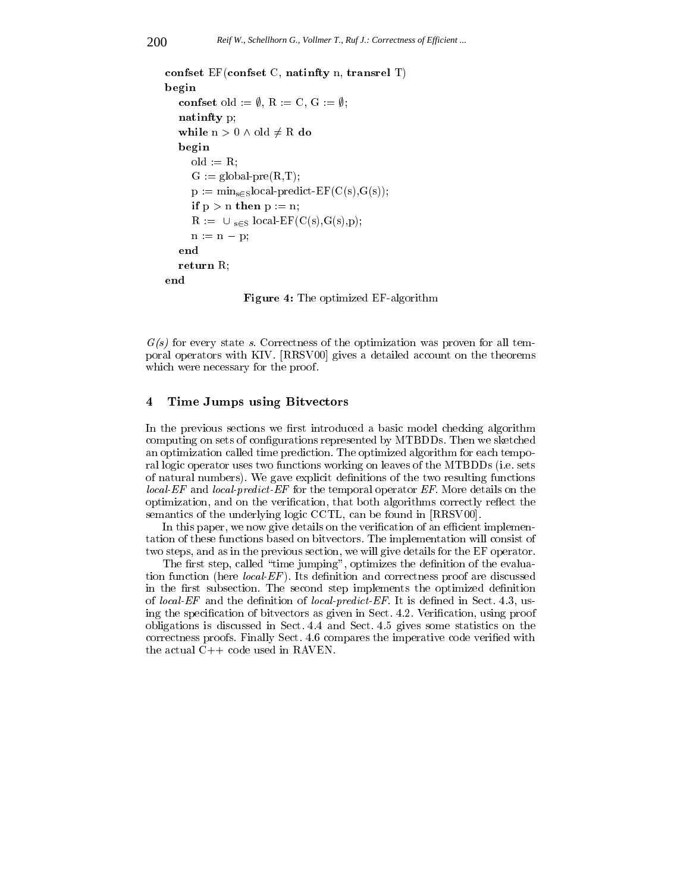```
confset EF(confset C, natinfty n, transrel T)
begin
  confset old := \emptyset, R := C, G := \emptyset;
  natinfty p;
   while n > 0 \wedge old \neq R do
  begin
     old := R;G := \text{global-pre}(R,T);p := min_{s \in S} local-predict-EF(C(s), G(s));if p > n then p := n;
      R := U_{s \in S} local-EF(C(s),G(s),p);
     n := n - p;return R;
end
```
Figure 4: The optimized EF-algorithm

G(s) for every state s. Correctness of the optimization was proven for all temporal operators with KIV. [RRSV00] gives a detailed account on the theorems which were necessary for the proof.

#### 4Time Jumps using Bitvectors

In the previous sections we first introduced a basic model checking algorithm computing on sets of configurations represented by MTBDDs. Then we sketched an optimization called time prediction. The optimized algorithm for each temporal logic operator uses two functions working on leaves of the MTBDDs (i.e. sets of natural numbers). We gave explicit definitions of the two resulting functions local-EF and local-predict-EF for the temporal operator EF. More details on the optimization, and on the verification, that both algorithms correctly reflect the semantics of the underlying logic CCTL, can be found in [RRSV00].

In this paper, we now give details on the verification of an efficient implementation of these functions based on bitvectors. The implementation will consist of two steps, and as in the previous section, we will give details for the EF operator.

The first step, called "time jumping", optimizes the definition of the evaluation function (here  $local$ - $EF$ ). Its definition and correctness proof are discussed in the first subsection. The second step implements the optimized definition of *local-EF* and the definition of *local-predict-EF*. It is defined in Sect. 4.3, using the specification of bitvectors as given in Sect. 4.2. Verification, using proof obligations is discussed in Sect. 4.4 and Sect. 4.5 gives some statistics on the correctness proofs. Finally Sect. 4.6 compares the imperative code verified with the actual C++ code used in RAVEN.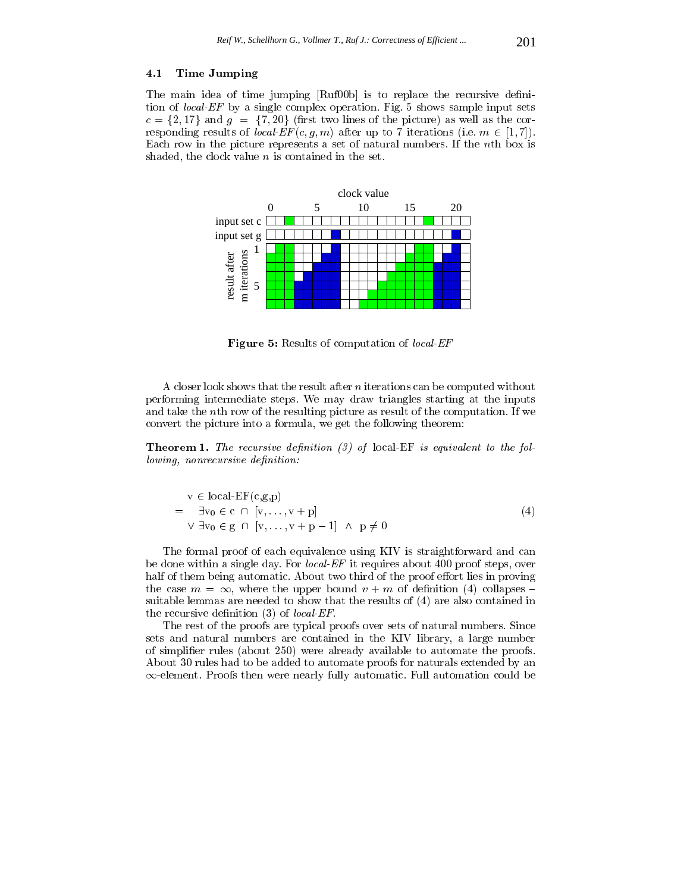## 4.1 Time Jumping

The main idea of time jumping [Ruf00b] is to replace the recursive denition of local-EF by a single complex operation. Fig. 5 shows sample input sets  $c = \{2, 17\}$  and  $g = \{7, 20\}$  (first two lines of the picture) as well as the corresponding results of *local-EF*  $(c, g, m)$  after up to 7 iterations (i.e.  $m \in [1, 7]$ ). Each row in the picture represents a set of natural numbers. If the nth box is shaded, the clock value  $n$  is contained in the set.



Figure 5: Results of computation of local-EF

A closer look shows that the result after <sup>n</sup> iterations can be computed without performing intermediate steps. We may draw triangles starting at the inputs and take the nth row of the resulting picture as result of the computation. If we convert the picture into a formula, we get the following theorem:

**Theorem 1.** The recursive definition (3) of local-EF is equivalent to the following, nonrecursive definition:

$$
v \in local-EF(c,g,p)
$$
  
=  $\exists v_0 \in c \cap [v, ..., v + p]$   

$$
\forall \exists v_0 \in g \cap [v, ..., v + p - 1] \land p \neq 0
$$
 (4)

The formal proof of each equivalence using KIV is straightforward and can be done within a single day. For *local-EF* it requires about 400 proof steps, over half of them being automatic. About two third of the proof effort lies in proving the case  $m = \infty$ , where the upper bound  $v + m$  of definition (4) collapses suitable lemmas are needed to show that the results of (4) are also contained in the recursive definition  $(3)$  of *local-EF*.

The rest of the proofs are typical proofs over sets of natural numbers. Since sets and natural numbers are contained in the KIV library, a large number of simplier rules (about 250) were already available to automate the proofs. About 30 rules had to be added to automate proofs for naturals extended by an  $\infty$ -element. Proofs then were nearly fully automatic. Full automation could be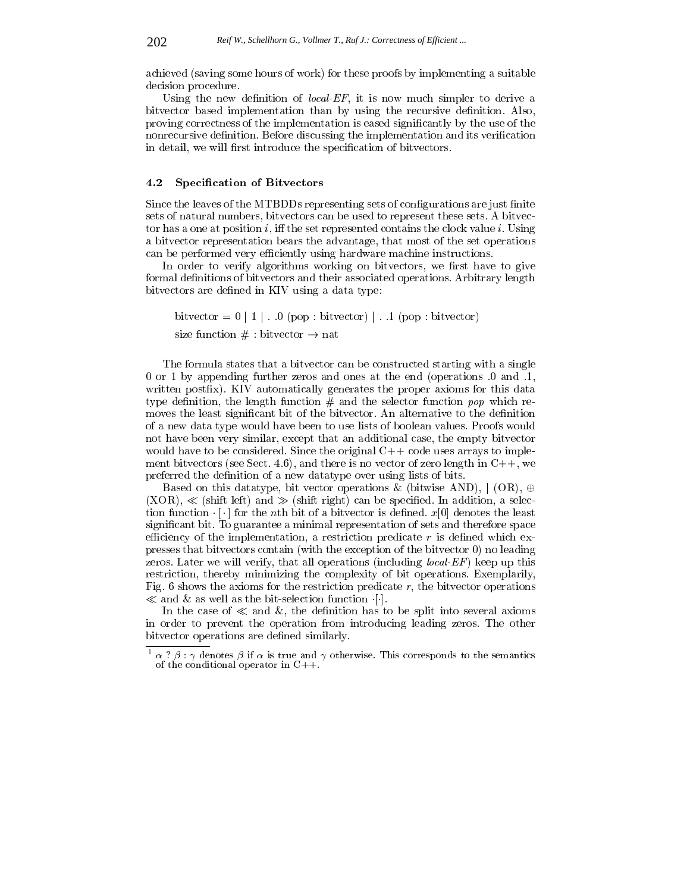achieved (saving some hours of work) for these proofs by implementing a suitable decision procedure.

Using the new definition of *local-EF*, it is now much simpler to derive a bitvector based implementation than by using the recursive definition. Also, proving correctness of the implementation is eased signicantly by the use of the nonrecursive definition. Before discussing the implementation and its verification in detail, we will first introduce the specification of bitvectors.

# 4.2 Specication of Bitvectors

Since the leaves of the MTBDDs representing sets of configurations are just finite sets of natural numbers, bitvectors can be used to represent these sets. A bitvector has a one at position i, iff the set represented contains the clock value i. Using a bitvector representation bears the advantage, that most of the set operations can be performed very efficiently using hardware machine instructions.

In order to verify algorithms working on bitvectors, we first have to give formal definitions of bitvectors and their associated operations. Arbitrary length bitvectors are defined in KIV using a data type:

bitvector =  $0 \mid 1 \mid$ . .0 (pop : bitvector) | . .1 (pop : bitvector) size function  $# :$  bitvector  $\rightarrow$  nat

The formula states that a bitvector can be constructed starting with a single 0 or 1 by appending further zeros and ones at the end (operations .0 and .1, written postfix). KIV automatically generates the proper axioms for this data type definition, the length function  $#$  and the selector function pop which removes the least significant bit of the bitvector. An alternative to the definition of a new data type would have been to use lists of boolean values. Proofs would not have been very similar, except that an additional case, the empty bitvector would have to be considered. Since the original  $C++$  code uses arrays to implement bitvectors (see Sect. 4.6), and there is no vector of zero length in  $C++$ , we preferred the definition of a new datatype over using lists of bits.

Based on this datatype, bit vector operations & (bitwise AND),  $\mid$  (OR),  $\oplus$  $(XOR)$ ,  $\ll$  (shift left) and  $\gg$  (shift right) can be specified. In addition, a selection function  $\lceil \cdot \rceil$  for the *n*th bit of a bitvector is defined.  $x[0]$  denotes the least signicant bit. To guarantee a minimal representation of sets and therefore space efficiency of the implementation, a restriction predicate  $r$  is defined which expresses that bitvectors contain (with the exception of the bitvector 0) no leading zeros. Later we will verify, that all operations (including *local-EF*) keep up this restriction, thereby minimizing the complexity of bit operations. Exemplarily, Fig. 6 shows the axioms for the restriction predicate  $r$ , the bitvector operations  $\ll$  and  $\propto$  as well as the bit-selection function [].

In the case of  $\ll$  and  $\&$ , the definition has to be split into several axioms in order to prevent the operation from introducing leading zeros. The other bitvector operations are defined similarly.

 $\lceil \alpha \rceil$   $\beta$  :  $\gamma$  denotes  $\beta$  if  $\alpha$  is true and  $\gamma$  otherwise. This corresponds to the semantics of the conditional operator in  $C_{++}$ .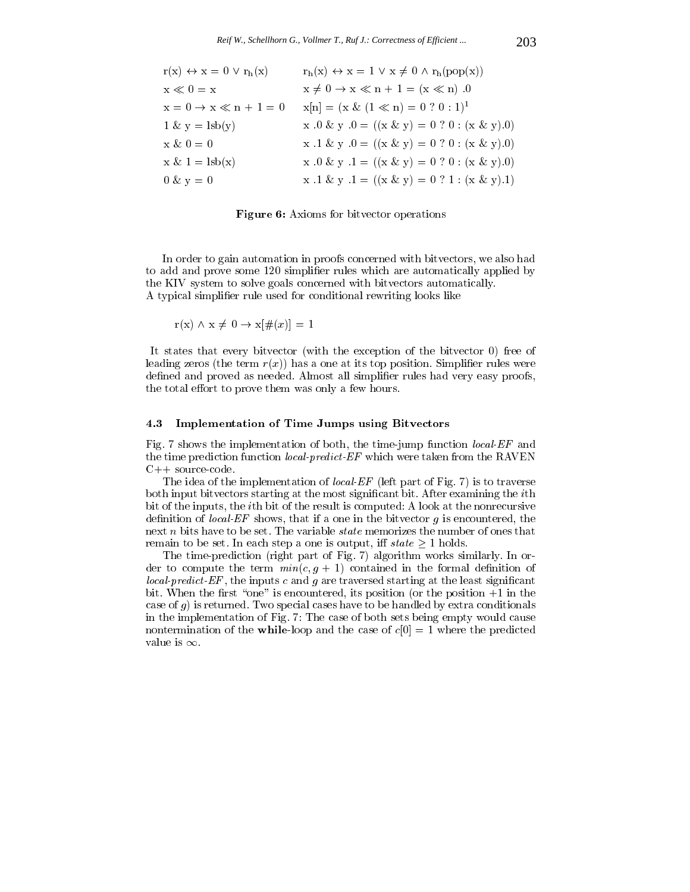| $r(x) \leftrightarrow x = 0 \vee r_h(x)$ | $r_h(x) \leftrightarrow x = 1 \vee x \neq 0 \wedge r_h(pop(x))$  |
|------------------------------------------|------------------------------------------------------------------|
| $x \ll 0 = x$                            | $x \neq 0 \rightarrow x \ll n + 1 = (x \ll n)$ .0                |
| $x = 0 \rightarrow x \ll n + 1 = 0$      | $x[n] = (x \& (1 \ll n) = 0 ? 0 : 1)^{1}$                        |
| $1 \& y = \text{lsb}(y)$                 | $x \cdot 0 \& y \cdot 0 = ((x \& y) = 0 ? 0 : (x \& y) \cdot 0)$ |
| $x \& 0 = 0$                             | x .1 & y .0 = $((x & y) = 0 ? 0 : (x & y) = 0)$                  |
| $x \& 1 = \text{lsb}(x)$                 | $x .0 \& y .1 = ((x \& y) = 0 ? 0 : (x \& y).0)$                 |
| $0 \& y = 0$                             | x .1 & y .1 = $((x & y) = 0 ? 1 : (x & y) .1)$                   |

Figure 6: Axioms for bitvector operations

In order to gain automation in proofs concerned with bitvectors, we also had to add and prove some 120 simplifier rules which are automatically applied by the KIV system to solve goals concerned with bitvectors automatically. A typical simplifier rule used for conditional rewriting looks like

 $r(x) \wedge x \neq 0 \rightarrow x[\#(x)] = 1$ 

It states that every bitvector (with the exception of the bitvector 0) free of leading zeros (the term  $r(x)$ ) has a one at its top position. Simplifier rules were defined and proved as needed. Almost all simplifier rules had very easy proofs, the total effort to prove them was only a few hours.

### 4.3 Implementation of Time Jumps using Bitvectors

Fig. 7 shows the implementation of both, the time-jump function local-EF and the time prediction function *local-predict-EF* which were taken from the RAVEN C++ source-code.

The idea of the implementation of *local-EF* (left part of Fig. 7) is to traverse both input bitvectors starting at the most significant bit. After examining the *i*th bit of the inputs, the ith bit of the result is computed: A look at the nonrecursive definition of *local-EF* shows, that if a one in the bitvector  $g$  is encountered, the next n bits have to be set. The variable *state* memorizes the number of ones that remain to be set. In each step a one is output, iff  $state \geq 1$  holds.

The time-prediction (right part of Fig. 7) algorithm works similarly. In order to compute the term  $min(c, g + 1)$  contained in the formal definition of local-predict-EF , the inputs <sup>c</sup> and <sup>g</sup> are traversed starting at the least signicant bit. When the first "one" is encountered, its position (or the position  $+1$  in the case of  $g$ ) is returned. Two special cases have to be handled by extra conditionals in the implementation of Fig. 7: The case of both sets being empty would cause nontermination of the **while-loop** and the case of  $c[0] = 1$  where the predicted value is  $\infty$ .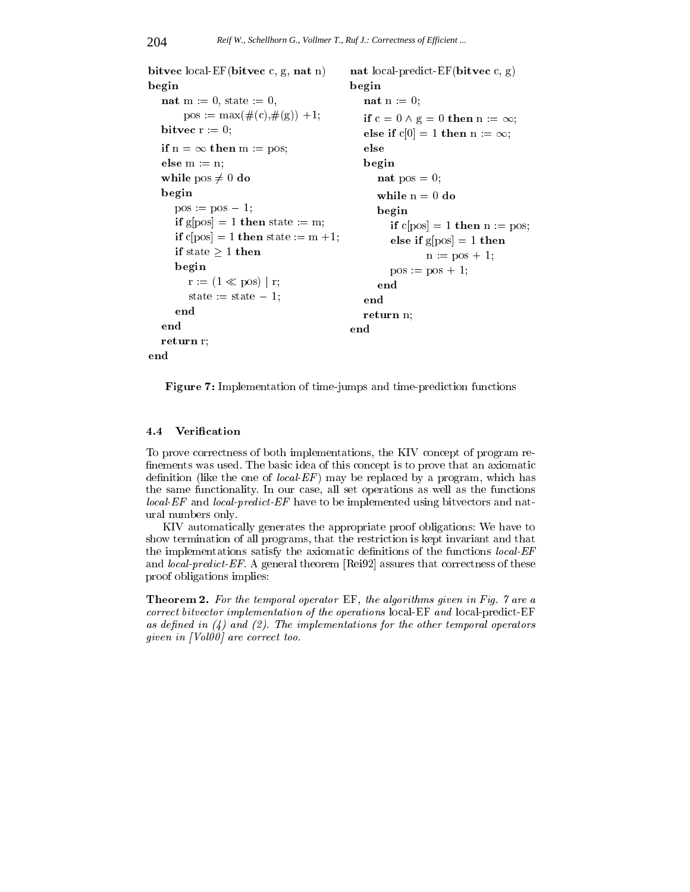```
bitvec local-EF(bitvec c, g, nat n)
                                         nat local-predict-EF(bitvec c, g)
begin
                                         begin
  nat m := 0, state := 0,
                                           nat n := 0;
       pos := max(\#(c), \#(g)) +1;if c=0 \wedge g=0 then n := \infty;bitvec r := 0;
                                            else if c[0] = 1 then n := \infty;
  if n = \infty then m := pos;
                                            else
  else m := n;
                                            begin
  while pos \neq 0 do
                                              nat pos = 0;
  begin
                                              while n=0 do
     pos := pos - 1;begin
     if g[pos] = 1 then state := m;
                                                 if c[pos] = 1 then n := pos;
     if c[pos] = 1 then state := m +1;
                                                 else if g[pos] = 1 then
     if state > 1 then
                                                        n := pos + 1;begin
                                                 pos := pos + 1;r := (1 \ll \text{pos}) | r;end
        state := state -1;
                                            endend
                                            return n;
  end
                                         end
  return r;
end
```
Figure 7: Implementation of time-jumps and time-prediction functions

#### Verification  $4.4$

To prove correctness of both implementations, the KIV concept of program re nements was used. The basic idea of this concept is to prove that an axiomatic definition (like the one of *local-EF*) may be replaced by a program, which has the same functionality. In our case, all set operations as well as the functions local-EF and local-predict-EF have to be implemented using bitvectors and natural numbers only.

KIV automatically generates the appropriate proof obligations: We have to show termination of all programs, that the restriction is kept invariant and that the implementations satisfy the axiomatic definitions of the functions  $local$ - $EF$ and *local-predict-EF.* A general theorem [Rei92] assures that correctness of these proof obligations implies:

Theorem 2. For the temporal operator EF, the algorithms given in Fig. 7 are a correct bitvector implementation of the operations local-EF and local-predict-EF as defined in  $(4)$  and  $(2)$ . The implementations for the other temporal operators given in [Vol00] are correct too.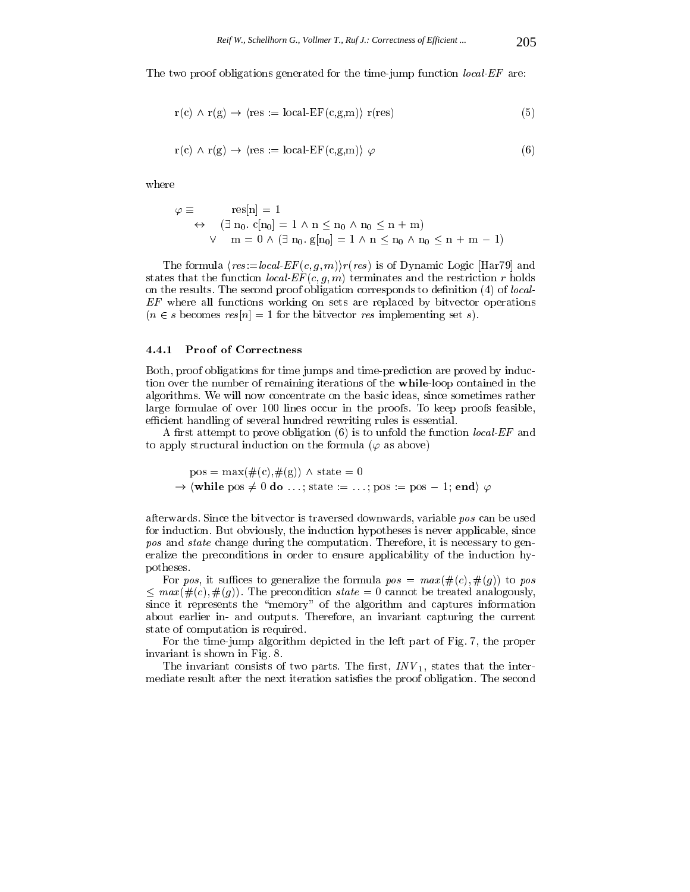The two proof obligations generated for the time-jump function *local-EF* are:

$$
r(c) \land r(g) \to \langle res := local-EF(c,g,m) \rangle r(res)
$$
 (5)

$$
r(c) \wedge r(g) \rightarrow \langle res := local-EF(c,g,m) \rangle \varphi
$$
 (6)

$$
\varphi \equiv \operatorname{res}[n] = 1
$$
  
\n
$$
\leftrightarrow (\exists n_0. c[n_0] = 1 \land n \le n_0 \land n_0 \le n + m)
$$
  
\n
$$
\lor \quad m = 0 \land (\exists n_0. g[n_0] = 1 \land n \le n_0 \land n_0 \le n + m - 1)
$$

The formula  $\langle res := local \text{ } EF(c, g, m) \rangle r(res)$  is of Dynamic Logic [Har79] and states that the function *local-EF*  $(c, g, m)$  terminates and the restriction r holds on the results. The second proof obligation corresponds to denition (4) of local-EF where all functions working on sets are replaced by bitvector operations  $(n \in s \text{ becomes } res[n] = 1 \text{ for the bitvector } res \text{ implementing set } s).$ 

### 4.4.1 Proof of Correctness

Both, proof obligations for time jumps and time-prediction are proved by induction over the number of remaining iterations of the while-loop contained in the algorithms. We will now concentrate on the basic ideas, since sometimes rather large formulae of over 100 lines occur in the proofs. To keep proofs feasible, efficient handling of several hundred rewriting rules is essential.

A first attempt to prove obligation  $(6)$  is to unfold the function *local-EF* and to apply structural induction on the formula ( $\varphi$  as above)

 $pos = max(\#(c), \#(g)) \wedge state = 0$  $\rightarrow$  (while pos  $\neq 0$  do ...; state := ...; pos := pos - 1; end)  $\varphi$ 

afterwards. Since the bitvector is traversed downwards, variable pos can be used for induction. But obviously, the induction hypotheses is never applicable, since pos and state change during the computation. Therefore, it is necessary to generalize the preconditions in order to ensure applicability of the induction hypotheses.

For pos, it suffices to generalize the formula  $pos = max(\#(c), \#(g))$  to pos  $\leq$   $max(\#(c), \#(g))$ . The precondition state  $=$  0 cannot be treated analogously, since it represents the "memory" of the algorithm and captures information about earlier in- and outputs. Therefore, an invariant capturing the current state of computation is required.

For the time-jump algorithm depicted in the left part of Fig. 7, the proper invariant is shown in Fig. 8.

The invariant consists of two parts. The rst, INV 1, states that the intermediate result after the next iteration satisfies the proof obligation. The second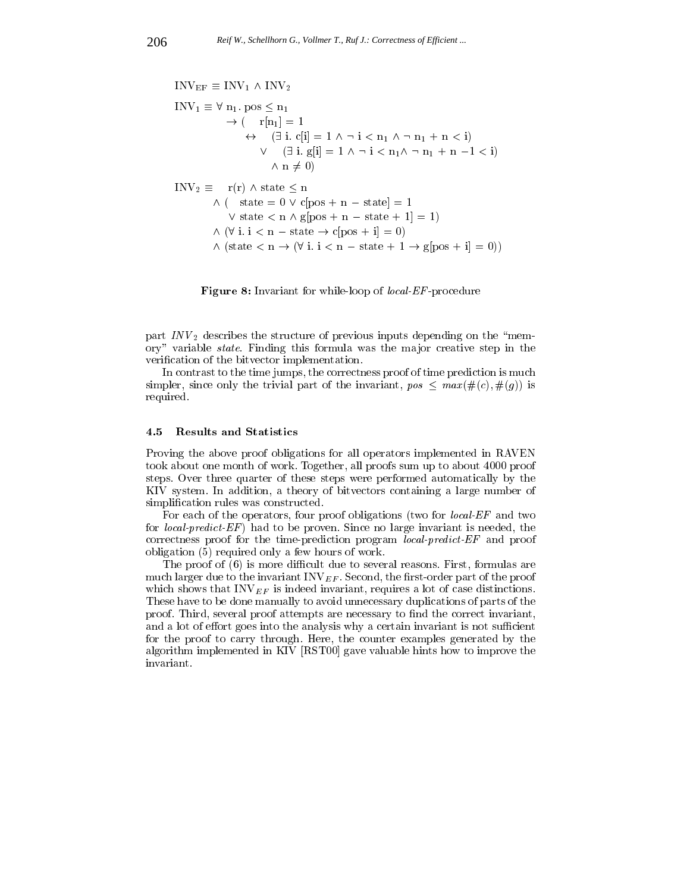$$
INV_{EF} \equiv INV_1 \land INV_2
$$
\n
$$
INV_1 \equiv \forall n_1. pos \le n_1
$$
\n
$$
\rightarrow (\quad r[n_1] = 1
$$
\n
$$
\leftrightarrow (\exists i. c[i] = 1 \land \neg i < n_1 \land \neg n_1 + n < i)
$$
\n
$$
\lor (\exists i. g[i] = 1 \land \neg i < n_1 \land \neg n_1 + n - 1 < i)
$$
\n
$$
\land n \neq 0)
$$
\n
$$
INV_2 \equiv \quad r(r) \land state \le n
$$
\n
$$
\land (\quad state = 0 \lor c[pos + n - state] = 1
$$
\n
$$
\lor state < n \land g[pos + n - state + 1] = 1)
$$
\n
$$
\land (\forall i. i < n - state \rightarrow c[pos + i] = 0)
$$
\n
$$
\land (state < n \rightarrow (\forall i. i < n - state + 1 \rightarrow g[pos + i] = 0))
$$

Figure 8: Invariant for while-loop of *local-EF*-procedure

part in  $\frac{1}{2}$  describes the structure of previous inputs depending on the  $\mathbf{m}$ ory" variable *state*. Finding this formula was the major creative step in the verification of the bitvector implementation.

In contrast to the time jumps, the correctness proof of time prediction is much simpler, since only the trivial part of the invariant,  $pos \leq max(\#(c), \#(g))$  is required.

### 4.5 Results and Statistics

Proving the above proof obligations for all operators implemented in RAVEN took about one month of work. Together, all proofs sum up to about 4000 proof steps. Over three quarter of these steps were performed automatically by the KIV system. In addition, a theory of bitvectors containing a large number of simplification rules was constructed.

For each of the operators, four proof obligations (two for local-EF and two for *local-predict-EF*) had to be proven. Since no large invariant is needed, the correctness proof for the time-prediction program local-predict-EF and proof obligation (5) required only a few hours of work.

The proof of (6) is more difficult due to several reasons. First, formulas are much larger due to the invariant  $INV_{EF}$ . Second, the first-order part of the proof which shows that  $\text{INV}_{EF}$  is indeed invariant, requires a lot of case distinctions. These have to be done manually to avoid unnecessary duplications of parts of the proof. Third, several proof attempts are necessary to find the correct invariant, and a lot of effort goes into the analysis why a certain invariant is not sufficient for the proof to carry through. Here, the counter examples generated by the algorithm implemented in KIV [RST00] gave valuable hints how to improve the invariant.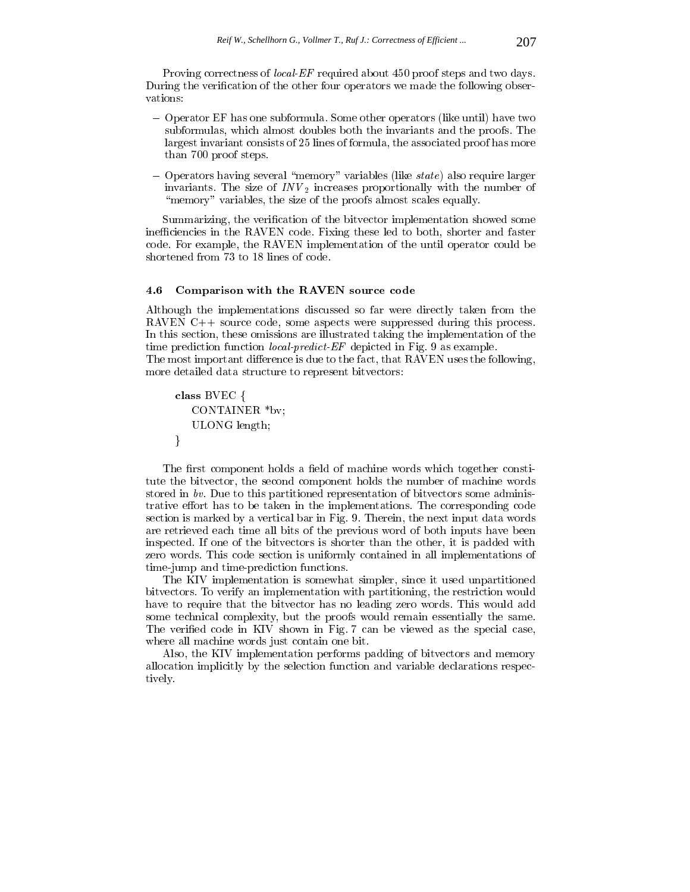Proving correctness of *local-EF* required about 450 proof steps and two days. During the verification of the other four operators we made the following observations:

- { Operator EF has one subformula. Some other operators (like until) have two subformulas, which almost doubles both the invariants and the proofs. The largest invariant consists of 25 lines of formula, the associated proof has more than 700 proof steps.
- ${\rm -}$  Operators having several "memory" variables (like state) also require larger invariants. The size of INV  $_2$  increases proportionally within the number of  $\sim$ "memory" variables, the size of the proofs almost scales equally.

Summarizing, the verification of the bitvector implementation showed some inefficiencies in the RAVEN code. Fixing these led to both, shorter and faster code. For example, the RAVEN implementation of the until operator could be shortened from 73 to 18 lines of code.

# 4.6 Comparison with the RAVEN source code

Although the implementations discussed so far were directly taken from the RAVEN C++ source code, some aspects were suppressed during this process. In this section, these omissions are illustrated taking the implementation of the time prediction function *local-predict-EF* depicted in Fig. 9 as example. The most important difference is due to the fact, that RAVEN uses the following,

more detailed data structure to represent bitvectors:

class BVEC <sup>f</sup> CONTAINER \*bv; ULONG length;  $\mathcal{E}$ 

The first component holds a field of machine words which together constitute the bitvector, the second component holds the number of machine words stored in bv. Due to this partitioned representation of bitvectors some administrative effort has to be taken in the implementations. The corresponding code section is marked by a vertical bar in Fig. 9. Therein, the next input data words are retrieved each time all bits of the previous word of both inputs have been inspected. If one of the bitvectors is shorter than the other, it is padded with zero words. This code section is uniformly contained in all implementations of time-jump and time-prediction functions.

The KIV implementation is somewhat simpler, since it used unpartitioned bitvectors. To verify an implementation with partitioning, the restriction would have to require that the bitvector has no leading zero words. This would add some technical complexity, but the proofs would remain essentially the same. The verified code in KIV shown in Fig. 7 can be viewed as the special case, where all machine words just contain one bit.

Also, the KIV implementation performs padding of bitvectors and memory allocation implicitly by the selection function and variable declarations respectively.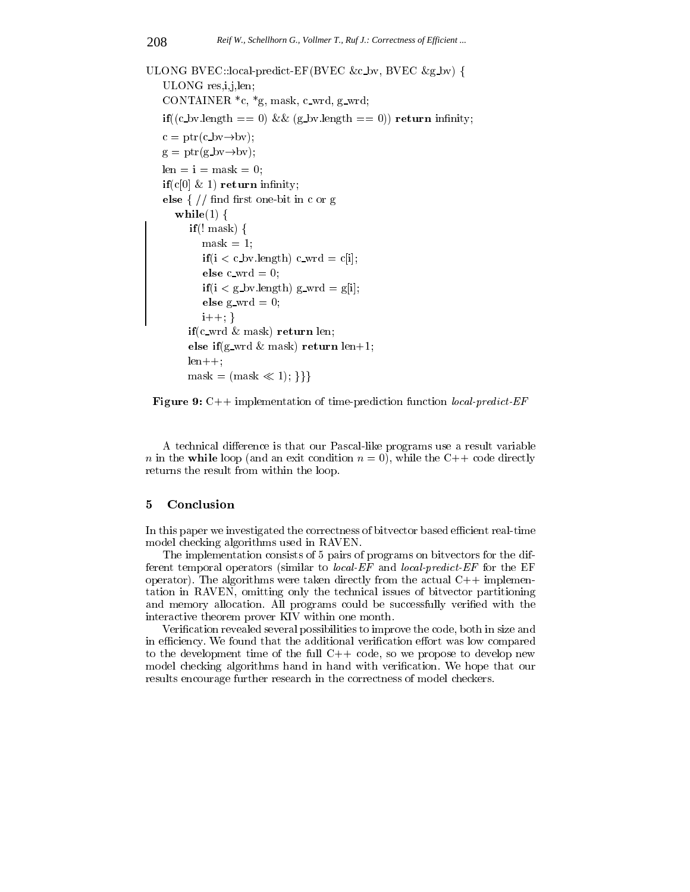ULONG BVEC::local-predict-EF(BVEC &c bv, BVEC &g bv) <sup>f</sup> ULONG res,i,j,len; CONTAINER  $*_c$ ,  $*_g$ , mask, c\_wrd, g\_wrd;  $\mathbf{if}((c_b, b_c) \cdot (c_b, d_c)) = 0$  &  $(g_b, b_c) \cdot (c_b, d_c)$  return infinity;  $c = \text{ptr}(c_b v \rightarrow b v);$  $g = \text{ptr}(g_b v \rightarrow b v);$  $len = i = mask = 0;$  $if(c[0] \& 1)$  return infinity; else  $\frac{1}{2}$  // find first one-bit in c or g while(1)  $\{$  $if(! mask) { }$  $\text{mask} = 1$ ;  $if(i < c_b. \text{b}v.length) c_w = c[i];$ else c\_wrd  $= 0$ ;  $if(i < g_b v.length) g_w r d = g[i];$ else g\_wrd  $= 0$ ;  $i++$ ; } if(c\_wrd  $\&$  mask) return len; else if(g\_wrd & mask) return len+1;  $len++;$  $\text{mask} = \left(\text{mask} \ll 1\right); \{\}\}\$ 



A technical difference is that our Pascal-like programs use a result variable  $\alpha$  in the while  $\alpha$  is a position of the condition n  $\alpha$  (if while the C++ code direction) returns the result from within the loop.

In this paper we investigated the correctness of bitvector based efficient real-time model checking algorithms used in RAVEN.

The implementation consists of 5 pairs of programs on bitvectors for the different temporal operators (similar to *local-EF* and *local-predict-EF* for the EF operator). The algorithms were taken directly from the actual  $C++$  implementation in RAVEN, omitting only the technical issues of bitvector partitioning and memory allocation. All programs could be successfully veried with the interactive theorem prover KIV within one month.

Verication revealed several possibilities to improve the code, both in size and in efficiency. We found that the additional verification effort was low compared to the development time of the full  $C++$  code, so we propose to develop new model checking algorithms hand in hand with verification. We hope that our results encourage further research in the correctness of model checkers.